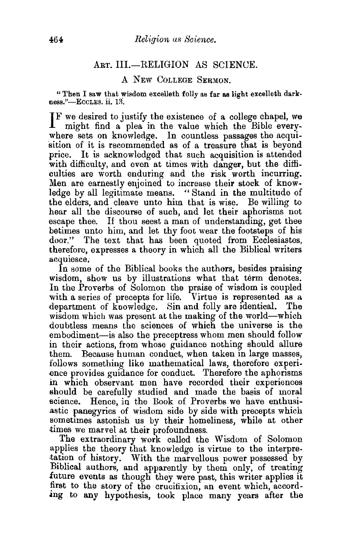## ART. III.-RELIGION AS SCIENCE.

## A NEW COLLEGE SERMON.

"Then I saw that wisdom excelleth folly as far as 1igbt excelleth dark·  $ness$ ."-EccLEs. ii. 13.

IF we desired to justify the existence of a college chapel, we might find a plea in the value which the Bible everymight find a plea in the value which the Bible everywhere sets on knowledge. In countless passages the acquisition of it is recommended as of a treasure that is beyond price. It is acknowledged that such acquisition is attended with difficulty, and even at times with danger, but the difficulties are worth enduring and the risk worth incurring. Men are earnestly enjoined to increase their stock of knowledge by all legitimate means. " Stand in the multitude of the elders, and cleave unto him that is wise. Be willing to hear all the discourse of such, and let their aphorisms not escape thee. If thou seest a man of understanding, get thee betimes unto him, and let thy foot wear the footsteps of his door." The text that has been quoted from Ecclesiastes, therefore, expresses a. theory in which all the Biblical writers acquiesce.

In some of the Biblical books the authers, besides praising wisdom, show us by illustrations what that term denotes. In the Proverbs of Solomon the praise of wisdom is coupled with a series of precepts for life. Virtue is represented as a department of knowledge. Sin and folly are identical. The wisdom which was present at the making of the world-which doubtless means the sciences of which the universe is the embodiment-is also the preceptress whom men should follow in their actions, from whose guidance nothing should allure them. Because human conduct, when taken in large masses, follows something like mathematical laws, therefore experience provides guidance for conduct. Therefore the aphorisms in which observant men have recorded their experiences should be carefully studied and made the basis of moral science. Hence, in the Book of Proverbs we have enthusiastic panegyrics of wisdom side by side with precepts which sometimes astonish us by their homeliness, while at other times we marvel at their profoundness.

The extraordinary work called the Wisdom of Solomon applies the theory that knowledge is virtue to the interpre- .tation of history. With the marvellous nower possessed by Biblical authors, and apparently by them only, of treating future events as though they were past, this writer applies it first to the story of the crucifixion, an event which, accord-.mg to any hypothesis, took place many years after the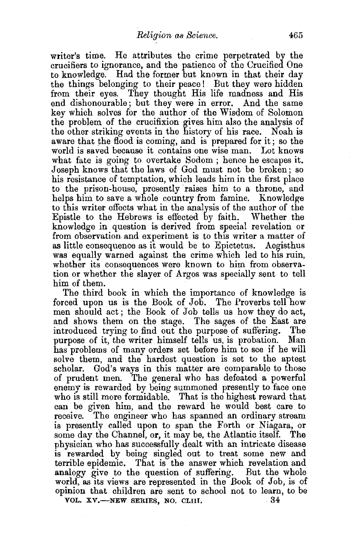writer's time. He attributes the crime perpetrated by the crucifiers to ignorance, and the patience of the Crucified One to knowledge. Had the former but known in that their day the things belonging to their peace ! But they were hidden from their eyes. They thought His life madness and His end dishonourable; but they were in error. And the same key which solves for the author of the Wisdom of Solomon the problem of the crucifixion gives him also the analysis of the other striking events in the history of his race. Noah is aware that the flood is coming, and is prepared for it; so the world is saved because it contains one wise man. Lot knows what fate is going to overtake Sodom ; hence he escapes it. Joseph knows that the laws of God must not be broken; so his resistance of temptation, which leads him in the first place to the prison-house, presently raises him to a throne, and helps him to save a whole country from famine. Knowledge to this writer effects what in the analysis of the author of the Epistle to the Hebrews is effected by faith. Whether the knowledge in question is derived from special revelation or from observation and experiment is to this writer a matter of as little consequence as it would be to Epictetus. Aegisthus was equally warned against the crime which led to his ruin, whether its consequences were known to him from observation or whether the slayer of Argos was specially sent to tell him of them.

The third book in which the importance of knowledge is forced upon us is the Book of Job. The Proverbs tell how men should act; the Book of Job tells us how they do act, and shows them on the stage. The sages of the East are introduced trying to find out the purpose of suffering. The purpose of it, the writer himself tells us, is probation. Man has problems of manv orders set before him to see if he will solve them, and the hardest question is set to the aptest scholar. God's ways in this matter are comparable to those of prudent men. The general who has defeated a powerful enemy is rewarded by being summoned presently to face one who is still more formidable. That is the highest reward that can be given him, and the reward he would best care to receive. The engineer who has spanned an ordinary stream is presently called upon to span the Forth or Niagara, or some day the Channel, or, it may be, the Atlantic itself. The physician who has successfully dealt with an intricate disease is rewarded by being singled out to treat some new and terrible epidemic. That is the answer which revelation and analogy give to the question of suffering. But the whole world, as its views are represented in the Book of Job, is of opinion that children are sent to school not to learn, to be vol.  $xy$ —NEW SERIES, NO. CLIII.  $34$ VOL. XV.--NEW SERIES, NO. CLIII.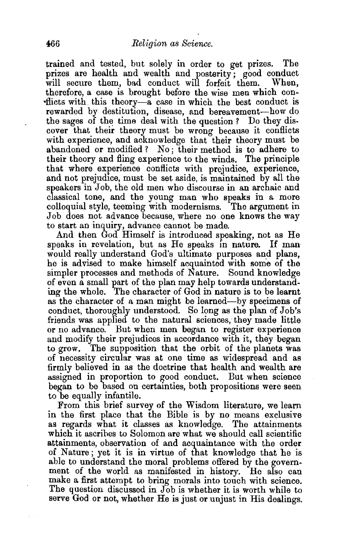trained and tested, but solely in order to get prizes. The prizes are health and wealth and posterity; good conduct will secure them, bad conduct will forfeit them. When, will secure them, bad conduct will forfeit them. therefore, a case is brought before the wise men which con- •flicts with this theory-a case in which the best conduct is rewarded by destitution, disease, and bereavement-how do the sages of the time deal with the question ? Do they discover that their theory must be wrong because it conflicts with experience, and acknowledge that their theory must be abandoned or modified? No; their method is to adhere to their theory and fling experience to the winds. The principle that where experience conflicts with prejudice, experience, and not prejudice, must be set aside, is maintained by all the speakers in Job, the old men who discourse in an archaic and classical tone, and the young man who speaks in a more colloquial style, teeming with modernisms. The argument in Job does not advance because, where no one knows the way to start an inquiry, advance cannot be made.

And then God Himself is introduced speaking, not as He speaks in revelation, but as He speaks in nature. If man would really understand God's ultimate purposes and plans, he is advised to make himself acquainted with some of the simpler processes and methods of Nature. Sound knowledge of even a small part of the plan may help towards understanding the whole. The character of God in nature is to be learnt as the character of a man might be learned-by specimens of conduct, thoroughly understood. So long as the plan of Job's friends was applied to the natural sciences, they made little or no advance. But when men began to register experience and modify their prejudices in accordance with it, they began to grow. The supposition that the orbit of the planets was of necessity circular was at one time as widespread and as firmly believed in as the doctrine that health and wealth are assigned in proportion to good conduct. But when science began to be based on certainties, both propositions were seen to be equally infantile.

From this brief survey of the Wisdom literature, we learn in the first place that the Bible is by no means exclusive as regards what it classes as knowledge. The attainments which it ascribes to Solomon are what we should call scientific attainments, observation of and acquaintance with the order of Nature; yet it is in virtue of that knowledge that he is able to understand the moral problems offered by the government of the world as manifested in history. He also can make a first attempt to bring morals into touch with science. The question discussed in Job is whether it is worth while to serve God or not, whether He is just or unjust in His dealings.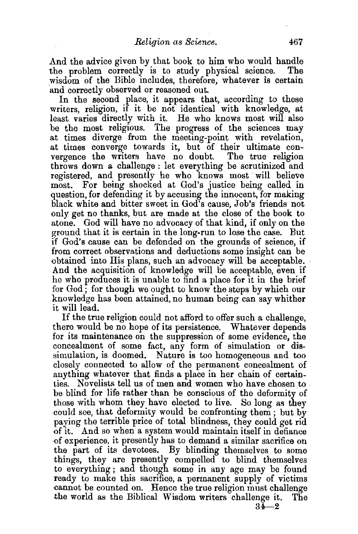And the advice given by that book to him who would handle the problem correctly is to study physical science. The the problem correctly is to study physical science. wisdom of the Bible includes, therefore, whatever is certain 'and correctly observed or reasoned out.

In the second place, it appears that, according to these writers, religion, if it be not identical with knowledge, at least varies directly with it. He who knows most will also be the most religious. The progress of the sciences may at times diverge from the meeting-point with revelation, at times converge towards it, but of their ultimate convergence the writers have no doubt. The true religion throws down a challenge: let everything be scrutinized and registered, and presently he who knows most will believe most. For being shocked at God's justice being called in question, for defending it by accusing the innocent, for making black white and bitter sweet in God's cause, Job's friends not only get no thanks, but are made at the close of the book to atone. God will have no advocacy of that kind, if only on the ground that it is certain in the long-run to lose the case. But if God's cause can be defended on the grounds of science, if from correct observations and deductions some insight can be And the acquisition of knowledge will be acceptable, even if he who produces it is unable to find a place for 1t in the brief for God; for though we ought to know the steps by which our knowledge has been attained, no human being can say whither it will lead.

If the true religion could not afford to offer such a challenge, there would be no hope of its persistence. Whatever depends for its maintenance on the suppression of some evidence, the concealment of some fact, any form of simulation or dissimulation, is doomed. Nature is too homogeneous and too closely connected to allow of the permanent concealment of anything whatever that finds a place in her chain of certainties. Novelists tell us of men and women who have chosen to. be blind for life rather than be conscious of the deformity of those with whom they have elected to live. So long as they could see, that deformity would be confronting them ; but by paying the terrible price of total blindness, they could get rid ·of it. And so when a system would maintain itself in defiance ·of experience, it presently has to demand a similar sacrifice on the part of its devotees. By blinding themselves to some things, they are presently compelled to blind themselves to everything; and though some in any age may be found ready to make this sacrifice, a permanent supply of victims cannot be counted on. Hence the true religion must challenge the world as the Biblical Wisdom writers challenge it. The

 $34 - 2$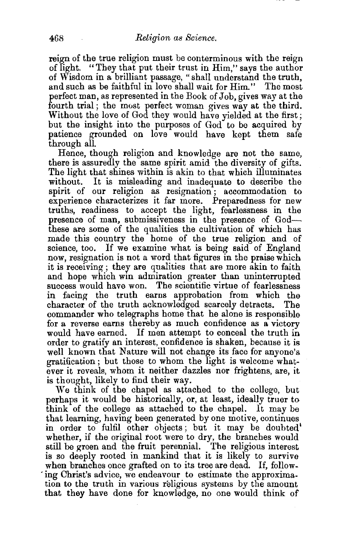reign of the true religion must be conterminous with the reign of light. "They that put their trust in Him," says the author of Wisdom in a brilliant passage, "shall understand the truth, and such as be faithful in love shall wait for Him." The most perfect man, as represented in the Book of Job, gives way at the fourth trial; the most perfect woman gives way at the third. Without the love of God they would have yielded at the first; but the insight into the purposes of God to be acquired by patience grounded on love would have kept them safe through all.

Hence, though religion and knowledge are not the same, there is assuredly the same spirit amid the diversity of gifts. The light that shines within is akin to that which illuminates without. It is misleading and inadequate to describe the spirit of our religion as resignation ; accommodation to experience characterizes it far more. Preparedness for new truths, readiness to accept the light, fearlessness in the presence of man, submissiveness in the presence of Godthese are some of the qualities the cultivation of which has made this country the home of the true religion and of science, too. If we examine what is being said of England now, resignation is not a word that figures in the praise which it is receiving ; they are qualities that are more akin to faith and hope which win admiration greater than uninterrupted success would have won. The scientific virtue of fearlessness in facing the truth earns approbation from which the character of the truth acknowledged scarcely detracts. The commander who telegraphs home that he alone is responsible for a reverse earns thereby as much confidence as a victory would have earned. If men attempt to conceal the truth in order to gratify an interest, confidence is shaken, because it is well known that Nature will not change its face for anyone's gratification ; but those to whom the light is welcome whatever it reveals, whom it neither dazzles nor frightens, are, it is thought, likely to find their way.

We think of the chapel as attached to the college, but perhaps it would be historically, or, at least, ideally truer to think of the college as attached to the chapel. It may be that learning, having been generated by one motive, continues in order to fulfil other objects; but it may be doubted' whether, if the original root were to dry, the branches would still be green and the fruit perennial. The religious interest is so deeply rooted in mankind that it is likely to survive when branches once grafted on to its tree are dead. If, follow ing Christ's advice, we endeavour to estimate the approximation to the truth in various religious systems by the amount that they have done for knowledge, no one would think of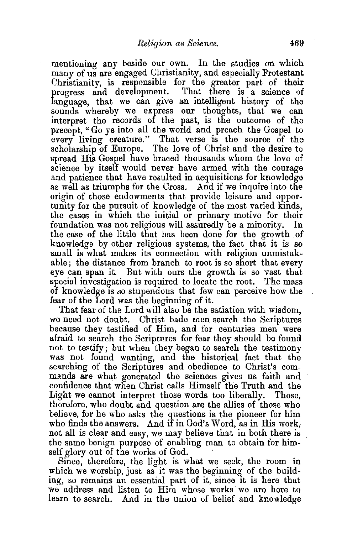mentioning any beside our own. In the studies on which many of us are engaged Christianity, and especially Protestant Christianity, is responsible for the greater part of their progress and development. That there is a science of language, that we can give an intelligent history of the sounds whereby we express our thoughts, that we can interpret the records of the past, is the outcome of the precept, "Go ye into all the world and preach the Gospel to every living creature." That verse is the source of the scholarship of Europe. The love of Christ and the desire to spread His Gospel have braced thousands whom the love of science by itself would never have armed with the courage and patience that have resulted in acquisitions for knowledge as well as triumphs for the Cross. And if we inquire into the origin of those endowments that provide leisure and opportunity for the pursuit of knowledge of the most varied kinds, the cases in which the initial or primary motive for their foundation was not religious will assuredly be a minority. In the case of the little that has been done for the growth of knowledge by other religious systems, the fact that it is so small is what makes its connection with religion unmistakable; the distance from branch to root is so short that every eye can span it. But with ours the growth is so vast that special investigation is required to locate the root. The mass of knowledge is so stupendous that few can perceive how the fear of the Lord was the beginning of it.

That fear of the Lord will also be the satiation with wisdom, we need not doubt. Christ bade men search the Scriptures because they testified of Him, and for centuries men were afraid to search the Scriptures for fear they should be found not to testify; but when they began to search the testimony was not found wanting, and the historical fact that the searching of the Scriptures and obedience to Christ's commands are what generated the sciences gives us faith and confidence that when Christ calls Himself the Truth and the Light we cannot interpret those words too liberally. Those, therefore, who doubt and question are the allies of those who believe, for he who asks the questions is the pioneer for him who finds the answers. And if in God's Word, as in His work, not all is clear and easy, we may believe that in both there is the same benign purpose of enabling man to obtain for him-

self glory out of the works of God.<br>Since, therefore, the light is what we seek, the room in which we worship, just as it was the beginning of the building, so remains an essential part of it, since it is here that we address and listen to Him whose works we are here to learn to search. And in the union of belief and knowledge